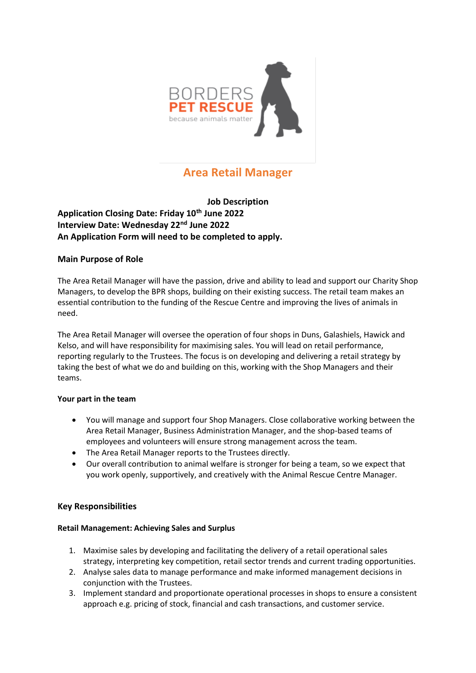

# **Area Retail Manager**

# **Job Description Application Closing Date: Friday 10th June 2022 Interview Date: Wednesday 22nd June 2022 An Application Form will need to be completed to apply.**

# **Main Purpose of Role**

The Area Retail Manager will have the passion, drive and ability to lead and support our Charity Shop Managers, to develop the BPR shops, building on their existing success. The retail team makes an essential contribution to the funding of the Rescue Centre and improving the lives of animals in need.

The Area Retail Manager will oversee the operation of four shops in Duns, Galashiels, Hawick and Kelso, and will have responsibility for maximising sales. You will lead on retail performance, reporting regularly to the Trustees. The focus is on developing and delivering a retail strategy by taking the best of what we do and building on this, working with the Shop Managers and their teams.

# **Your part in the team**

- You will manage and support four Shop Managers. Close collaborative working between the Area Retail Manager, Business Administration Manager, and the shop-based teams of employees and volunteers will ensure strong management across the team.
- The Area Retail Manager reports to the Trustees directly.
- Our overall contribution to animal welfare is stronger for being a team, so we expect that you work openly, supportively, and creatively with the Animal Rescue Centre Manager.

# **Key Responsibilities**

# **Retail Management: Achieving Sales and Surplus**

- 1. Maximise sales by developing and facilitating the delivery of a retail operational sales strategy, interpreting key competition, retail sector trends and current trading opportunities.
- 2. Analyse sales data to manage performance and make informed management decisions in conjunction with the Trustees.
- 3. Implement standard and proportionate operational processes in shops to ensure a consistent approach e.g. pricing of stock, financial and cash transactions, and customer service.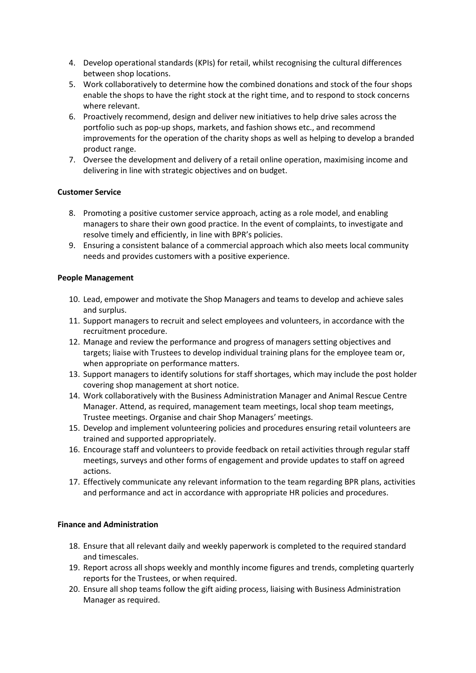- 4. Develop operational standards (KPIs) for retail, whilst recognising the cultural differences between shop locations.
- 5. Work collaboratively to determine how the combined donations and stock of the four shops enable the shops to have the right stock at the right time, and to respond to stock concerns where relevant.
- 6. Proactively recommend, design and deliver new initiatives to help drive sales across the portfolio such as pop-up shops, markets, and fashion shows etc., and recommend improvements for the operation of the charity shops as well as helping to develop a branded product range.
- 7. Oversee the development and delivery of a retail online operation, maximising income and delivering in line with strategic objectives and on budget.

# **Customer Service**

- 8. Promoting a positive customer service approach, acting as a role model, and enabling managers to share their own good practice. In the event of complaints, to investigate and resolve timely and efficiently, in line with BPR's policies.
- 9. Ensuring a consistent balance of a commercial approach which also meets local community needs and provides customers with a positive experience.

#### **People Management**

- 10. Lead, empower and motivate the Shop Managers and teams to develop and achieve sales and surplus.
- 11. Support managers to recruit and select employees and volunteers, in accordance with the recruitment procedure.
- 12. Manage and review the performance and progress of managers setting objectives and targets; liaise with Trustees to develop individual training plans for the employee team or, when appropriate on performance matters.
- 13. Support managers to identify solutions for staff shortages, which may include the post holder covering shop management at short notice.
- 14. Work collaboratively with the Business Administration Manager and Animal Rescue Centre Manager. Attend, as required, management team meetings, local shop team meetings, Trustee meetings. Organise and chair Shop Managers' meetings.
- 15. Develop and implement volunteering policies and procedures ensuring retail volunteers are trained and supported appropriately.
- 16. Encourage staff and volunteers to provide feedback on retail activities through regular staff meetings, surveys and other forms of engagement and provide updates to staff on agreed actions.
- 17. Effectively communicate any relevant information to the team regarding BPR plans, activities and performance and act in accordance with appropriate HR policies and procedures.

#### **Finance and Administration**

- 18. Ensure that all relevant daily and weekly paperwork is completed to the required standard and timescales.
- 19. Report across all shops weekly and monthly income figures and trends, completing quarterly reports for the Trustees, or when required.
- 20. Ensure all shop teams follow the gift aiding process, liaising with Business Administration Manager as required.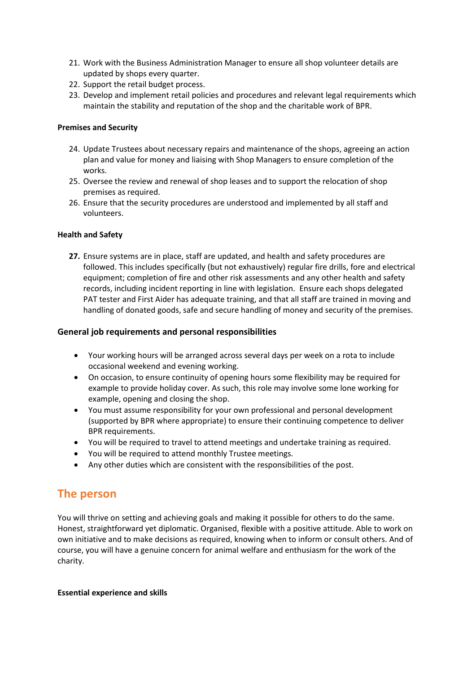- 21. Work with the Business Administration Manager to ensure all shop volunteer details are updated by shops every quarter.
- 22. Support the retail budget process.
- 23. Develop and implement retail policies and procedures and relevant legal requirements which maintain the stability and reputation of the shop and the charitable work of BPR.

#### **Premises and Security**

- 24. Update Trustees about necessary repairs and maintenance of the shops, agreeing an action plan and value for money and liaising with Shop Managers to ensure completion of the works.
- 25. Oversee the review and renewal of shop leases and to support the relocation of shop premises as required.
- 26. Ensure that the security procedures are understood and implemented by all staff and volunteers.

#### **Health and Safety**

**27.** Ensure systems are in place, staff are updated, and health and safety procedures are followed. This includes specifically (but not exhaustively) regular fire drills, fore and electrical equipment; completion of fire and other risk assessments and any other health and safety records, including incident reporting in line with legislation. Ensure each shops delegated PAT tester and First Aider has adequate training, and that all staff are trained in moving and handling of donated goods, safe and secure handling of money and security of the premises.

#### **General job requirements and personal responsibilities**

- Your working hours will be arranged across several days per week on a rota to include occasional weekend and evening working.
- On occasion, to ensure continuity of opening hours some flexibility may be required for example to provide holiday cover. As such, this role may involve some lone working for example, opening and closing the shop.
- You must assume responsibility for your own professional and personal development (supported by BPR where appropriate) to ensure their continuing competence to deliver BPR requirements.
- You will be required to travel to attend meetings and undertake training as required.
- You will be required to attend monthly Trustee meetings.
- Any other duties which are consistent with the responsibilities of the post.

# **The person**

You will thrive on setting and achieving goals and making it possible for others to do the same. Honest, straightforward yet diplomatic. Organised, flexible with a positive attitude. Able to work on own initiative and to make decisions as required, knowing when to inform or consult others. And of course, you will have a genuine concern for animal welfare and enthusiasm for the work of the charity.

#### **Essential experience and skills**